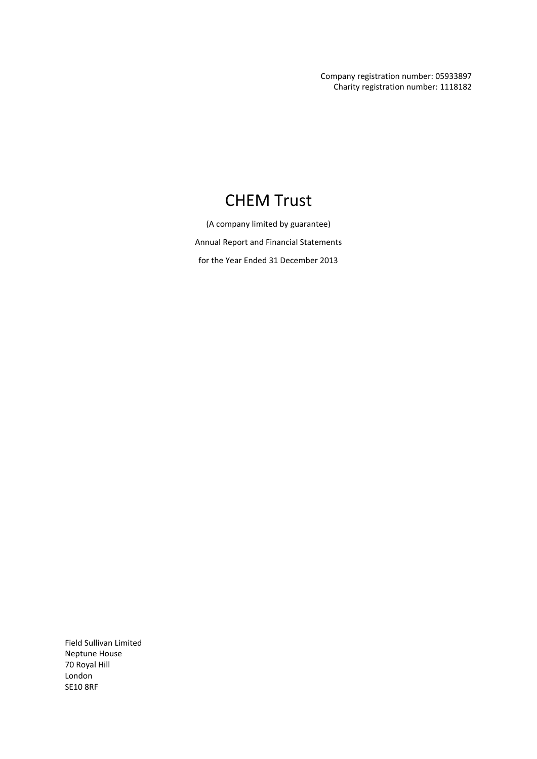Company registration number: 05933897 Charity registration number: 1118182

# CHEM Trust

(A company limited by guarantee) Annual Report and Financial Statements for the Year Ended 31 December 2013

Field Sullivan Limited Neptune House 70 Royal Hill London SE10 8RF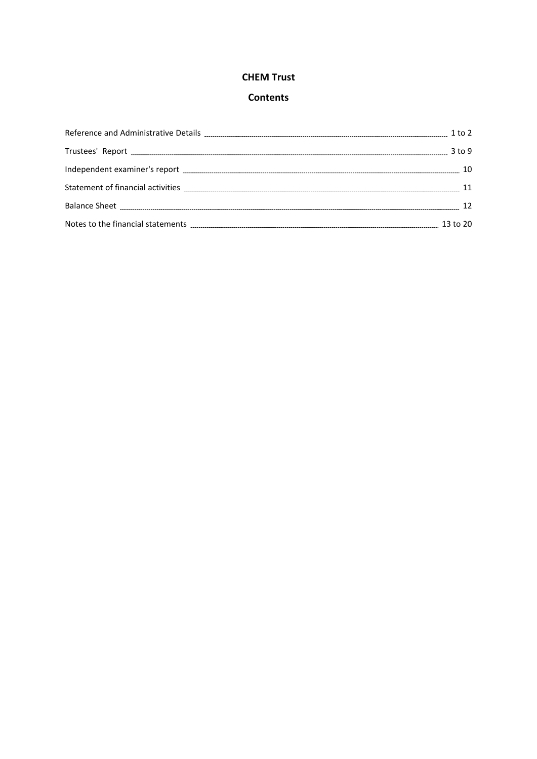# **Contents**

| $3$ to 9 |
|----------|
|          |
|          |
|          |
|          |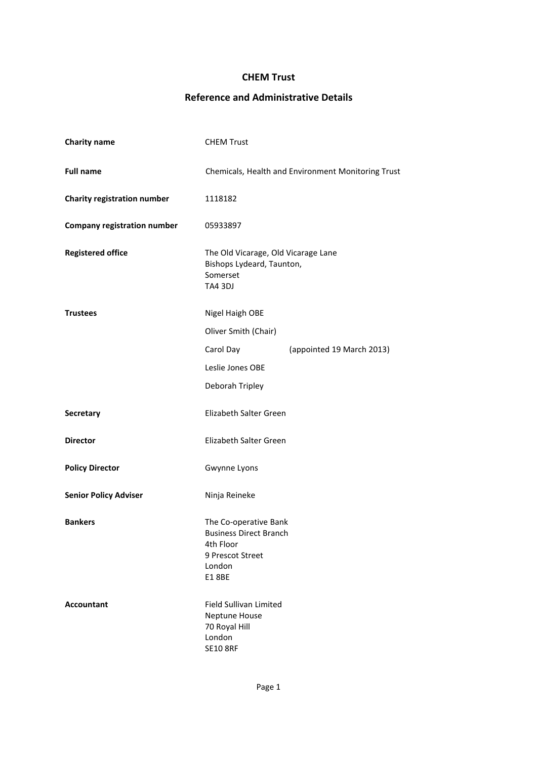# **Reference and Administrative Details**

| <b>Charity name</b>                | <b>CHEM Trust</b>                                                                                          |                           |  |  |
|------------------------------------|------------------------------------------------------------------------------------------------------------|---------------------------|--|--|
| <b>Full name</b>                   | Chemicals, Health and Environment Monitoring Trust                                                         |                           |  |  |
| Charity registration number        | 1118182                                                                                                    |                           |  |  |
| <b>Company registration number</b> | 05933897                                                                                                   |                           |  |  |
| <b>Registered office</b>           | The Old Vicarage, Old Vicarage Lane<br>Bishops Lydeard, Taunton,<br>Somerset<br>TA4 3DJ                    |                           |  |  |
| <b>Trustees</b>                    | Nigel Haigh OBE                                                                                            |                           |  |  |
|                                    | Oliver Smith (Chair)                                                                                       |                           |  |  |
|                                    | Carol Day                                                                                                  | (appointed 19 March 2013) |  |  |
|                                    | Leslie Jones OBE                                                                                           |                           |  |  |
|                                    | Deborah Tripley                                                                                            |                           |  |  |
| Secretary                          | Elizabeth Salter Green                                                                                     |                           |  |  |
| <b>Director</b>                    | Elizabeth Salter Green                                                                                     |                           |  |  |
| <b>Policy Director</b>             | Gwynne Lyons                                                                                               |                           |  |  |
| <b>Senior Policy Adviser</b>       | Ninja Reineke                                                                                              |                           |  |  |
| <b>Bankers</b>                     | The Co-operative Bank<br><b>Business Direct Branch</b><br>4th Floor<br>9 Prescot Street<br>London<br>E18BE |                           |  |  |
| <b>Accountant</b>                  | Field Sullivan Limited<br>Neptune House<br>70 Royal Hill<br>London<br><b>SE10 8RF</b>                      |                           |  |  |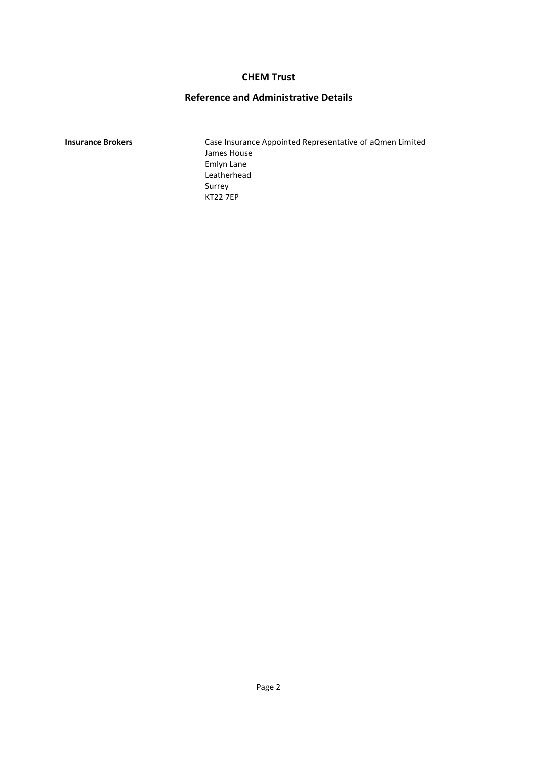# **Reference and Administrative Details**

**Insurance Brokers** Case Insurance Appointed Representative of aQmen Limited James House Emlyn Lane Leatherhead Surrey KT22 7EP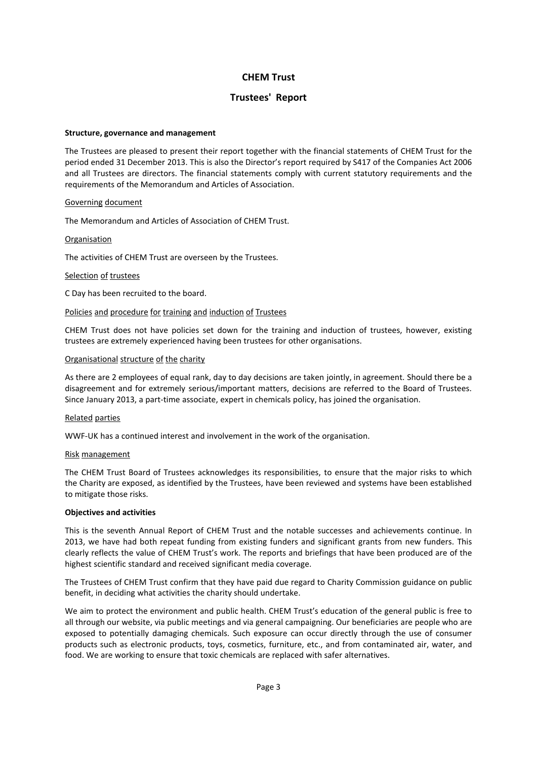# **Trustees' Report**

#### **Structure, governance and management**

The Trustees are pleased to present their report together with the financial statements of CHEM Trust for the period ended 31 December 2013. This is also the Director's report required by S417 of the Companies Act 2006 and all Trustees are directors. The financial statements comply with current statutory requirements and the requirements of the Memorandum and Articles of Association.

#### Governing document

The Memorandum and Articles of Association of CHEM Trust.

#### **Organisation**

The activities of CHEM Trust are overseen by the Trustees.

#### Selection of trustees

C Day has been recruited to the board.

#### Policies and procedure for training and induction of Trustees

CHEM Trust does not have policies set down for the training and induction of trustees, however, existing trustees are extremely experienced having been trustees for other organisations.

#### Organisational structure of the charity

As there are 2 employees of equal rank, day to day decisions are taken jointly, in agreement. Should there be a disagreement and for extremely serious/important matters, decisions are referred to the Board of Trustees. Since January 2013, a part-time associate, expert in chemicals policy, has joined the organisation.

#### Related parties

WWF-UK has a continued interest and involvement in the work of the organisation.

#### Risk management

The CHEM Trust Board of Trustees acknowledges its responsibilities, to ensure that the major risks to which the Charity are exposed, as identified by the Trustees, have been reviewed and systems have been established to mitigate those risks.

#### **Objectives and activities**

This is the seventh Annual Report of CHEM Trust and the notable successes and achievements continue. In 2013, we have had both repeat funding from existing funders and significant grants from new funders. This clearly reflects the value of CHEM Trust's work. The reports and briefings that have been produced are of the highest scientific standard and received significant media coverage.

The Trustees of CHEM Trust confirm that they have paid due regard to Charity Commission guidance on public benefit, in deciding what activities the charity should undertake.

We aim to protect the environment and public health. CHEM Trust's education of the general public is free to all through our website, via public meetings and via general campaigning. Our beneficiaries are people who are exposed to potentially damaging chemicals. Such exposure can occur directly through the use of consumer products such as electronic products, toys, cosmetics, furniture, etc., and from contaminated air, water, and food. We are working to ensure that toxic chemicals are replaced with safer alternatives.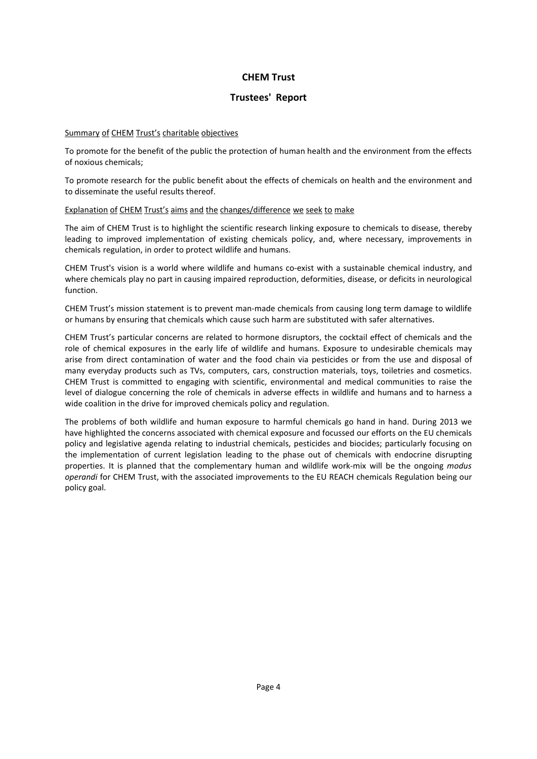# **Trustees' Report**

#### Summary of CHEM Trust's charitable objectives

To promote for the benefit of the public the protection of human health and the environment from the effects of noxious chemicals;

To promote research for the public benefit about the effects of chemicals on health and the environment and to disseminate the useful results thereof.

#### Explanation of CHEM Trust's aims and the changes/difference we seek to make

The aim of CHEM Trust is to highlight the scientific research linking exposure to chemicals to disease, thereby leading to improved implementation of existing chemicals policy, and, where necessary, improvements in chemicals regulation, in order to protect wildlife and humans.

CHEM Trust's vision is a world where wildlife and humans co-exist with a sustainable chemical industry, and where chemicals play no part in causing impaired reproduction, deformities, disease, or deficits in neurological function.

CHEM Trust's mission statement is to prevent man-made chemicals from causing long term damage to wildlife or humans by ensuring that chemicals which cause such harm are substituted with safer alternatives.

CHEM Trust's particular concerns are related to hormone disruptors, the cocktail effect of chemicals and the role of chemical exposures in the early life of wildlife and humans. Exposure to undesirable chemicals may arise from direct contamination of water and the food chain via pesticides or from the use and disposal of many everyday products such as TVs, computers, cars, construction materials, toys, toiletries and cosmetics. CHEM Trust is committed to engaging with scientific, environmental and medical communities to raise the level of dialogue concerning the role of chemicals in adverse effects in wildlife and humans and to harness a wide coalition in the drive for improved chemicals policy and regulation.

The problems of both wildlife and human exposure to harmful chemicals go hand in hand. During 2013 we have highlighted the concerns associated with chemical exposure and focussed our efforts on the EU chemicals policy and legislative agenda relating to industrial chemicals, pesticides and biocides; particularly focusing on the implementation of current legislation leading to the phase out of chemicals with endocrine disrupting properties. It is planned that the complementary human and wildlife work-mix will be the ongoing *modus operandi* for CHEM Trust, with the associated improvements to the EU REACH chemicals Regulation being our policy goal.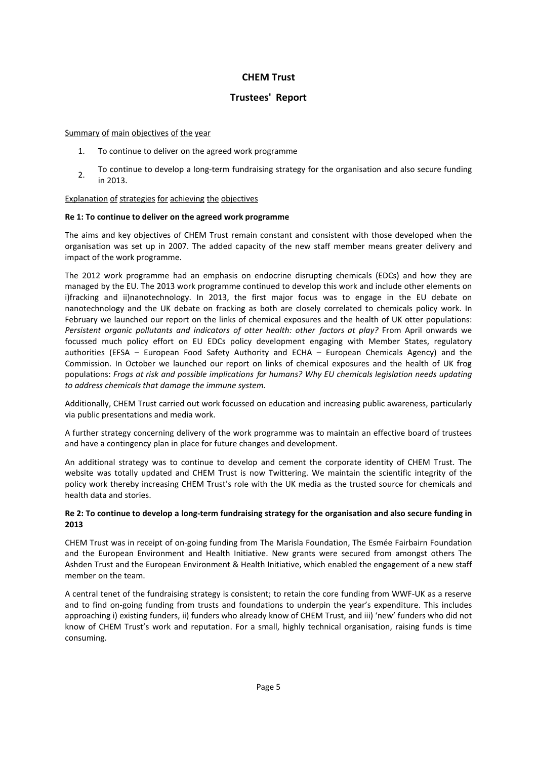# **Trustees' Report**

Summary of main objectives of the year

- 1. To continue to deliver on the agreed work programme
- 2. To continue to develop <sup>a</sup> long-term fundraising strategy for the organisation and also secure funding in 2013.

### Explanation of strategies for achieving the objectives

### **Re 1: To continue to deliver on the agreed work programme**

The aims and key objectives of CHEM Trust remain constant and consistent with those developed when the organisation was set up in 2007. The added capacity of the new staff member means greater delivery and impact of the work programme.

The 2012 work programme had an emphasis on endocrine disrupting chemicals (EDCs) and how they are managed by the EU. The 2013 work programme continued to develop this work and include other elements on i)fracking and ii)nanotechnology. In 2013, the first major focus was to engage in the EU debate on nanotechnology and the UK debate on fracking as both are closely correlated to chemicals policy work. In February we launched our report on the links of chemical exposures and the health of UK otter populations: *Persistent organic pollutants and indicators of otter health: other factors at play?* From April onwards we focussed much policy effort on EU EDCs policy development engaging with Member States, regulatory authorities (EFSA – European Food Safety Authority and ECHA – European Chemicals Agency) and the Commission. In October we launched our report on links of chemical exposures and the health of UK frog populations: *Frogs at risk and possible implications for humans? Why EU chemicals legislation needs updating to address chemicals that damage the immune system.*

Additionally, CHEM Trust carried out work focussed on education and increasing public awareness, particularly via public presentations and media work.

A further strategy concerning delivery of the work programme was to maintain an effective board of trustees and have a contingency plan in place for future changes and development.

An additional strategy was to continue to develop and cement the corporate identity of CHEM Trust. The website was totally updated and CHEM Trust is now Twittering. We maintain the scientific integrity of the policy work thereby increasing CHEM Trust's role with the UK media as the trusted source for chemicals and health data and stories.

### Re 2: To continue to develop a long-term fundraising strategy for the organisation and also secure funding in **2013**

CHEM Trust was in receipt of on-going funding from The Marisla Foundation, The Esmée Fairbairn Foundation and the European Environment and Health Initiative. New grants were secured from amongst others The Ashden Trust and the European Environment & Health Initiative, which enabled the engagement of a new staff member on the team.

A central tenet of the fundraising strategy is consistent; to retain the core funding from WWF-UK as a reserve and to find on-going funding from trusts and foundations to underpin the year's expenditure. This includes approaching i) existing funders, ii) funders who already know of CHEM Trust, and iii) 'new' funders who did not know of CHEM Trust's work and reputation. For a small, highly technical organisation, raising funds is time consuming.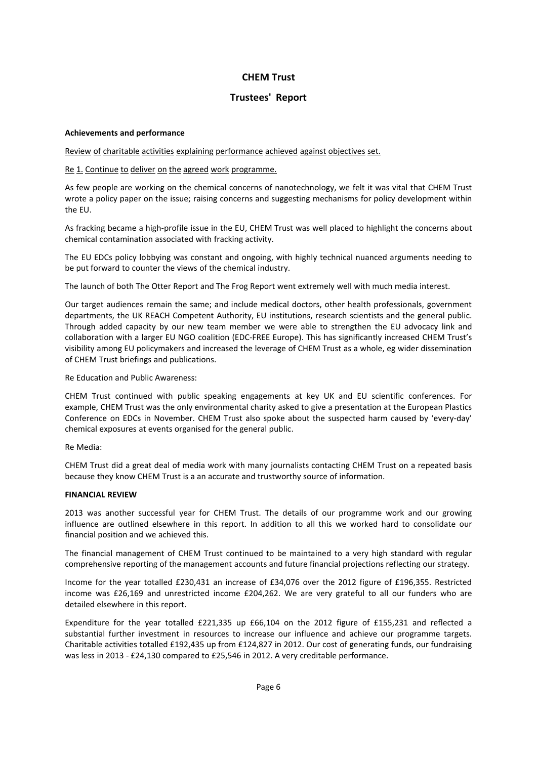# **Trustees' Report**

#### **Achievements and performance**

Review of charitable activities explaining performance achieved against objectives set.

#### Re 1. Continue to deliver on the agreed work programme.

As few people are working on the chemical concerns of nanotechnology, we felt it was vital that CHEM Trust wrote a policy paper on the issue; raising concerns and suggesting mechanisms for policy development within the EU.

As fracking became a high-profile issue in the EU, CHEM Trust was well placed to highlight the concerns about chemical contamination associated with fracking activity.

The EU EDCs policy lobbying was constant and ongoing, with highly technical nuanced arguments needing to be put forward to counter the views of the chemical industry.

The launch of both The Otter Report and The Frog Report went extremely well with much media interest.

Our target audiences remain the same; and include medical doctors, other health professionals, government departments, the UK REACH Competent Authority, EU institutions, research scientists and the general public. Through added capacity by our new team member we were able to strengthen the EU advocacy link and collaboration with a larger EU NGO coalition (EDC-FREE Europe). This has significantly increased CHEM Trust's visibility among EU policymakers and increased the leverage of CHEM Trust as a whole, eg wider dissemination of CHEM Trust briefings and publications.

Re Education and Public Awareness:

CHEM Trust continued with public speaking engagements at key UK and EU scientific conferences. For example, CHEM Trust was the only environmental charity asked to give a presentation at the European Plastics Conference on EDCs in November. CHEM Trust also spoke about the suspected harm caused by 'every-day' chemical exposures at events organised for the general public.

Re Media:

CHEM Trust did a great deal of media work with many journalists contacting CHEM Trust on a repeated basis because they know CHEM Trust is a an accurate and trustworthy source of information.

#### **FINANCIAL REVIEW**

2013 was another successful year for CHEM Trust. The details of our programme work and our growing influence are outlined elsewhere in this report. In addition to all this we worked hard to consolidate our financial position and we achieved this.

The financial management of CHEM Trust continued to be maintained to a very high standard with regular comprehensive reporting of the management accounts and future financial projections reflecting our strategy.

Income for the year totalled £230,431 an increase of £34,076 over the 2012 figure of £196,355. Restricted income was £26,169 and unrestricted income £204,262. We are very grateful to all our funders who are detailed elsewhere in this report.

Expenditure for the year totalled £221,335 up £66,104 on the 2012 figure of £155,231 and reflected a substantial further investment in resources to increase our influence and achieve our programme targets. Charitable activities totalled £192,435 up from £124,827 in 2012. Our cost of generating funds, our fundraising was less in 2013 - £24,130 compared to £25,546 in 2012. A very creditable performance.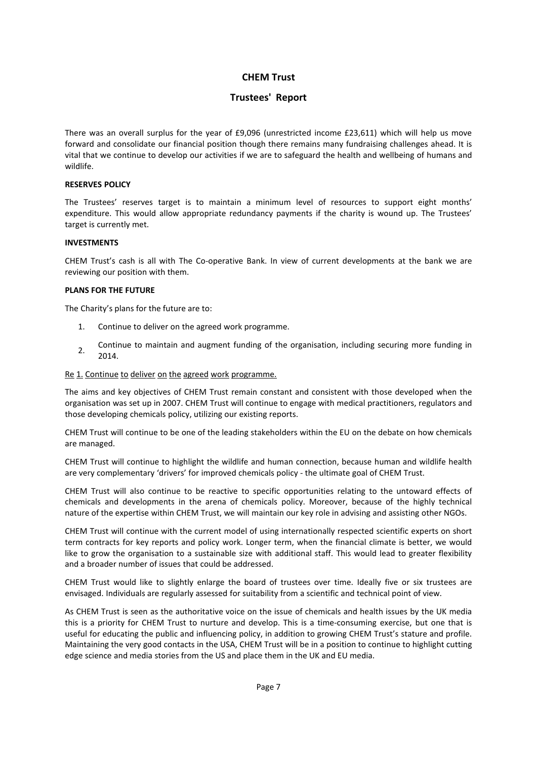# **Trustees' Report**

There was an overall surplus for the year of £9,096 (unrestricted income £23,611) which will help us move forward and consolidate our financial position though there remains many fundraising challenges ahead. It is vital that we continue to develop our activities if we are to safeguard the health and wellbeing of humans and wildlife.

#### **RESERVES POLICY**

The Trustees' reserves target is to maintain a minimum level of resources to support eight months' expenditure. This would allow appropriate redundancy payments if the charity is wound up. The Trustees' target is currently met.

#### **INVESTMENTS**

CHEM Trust's cash is all with The Co-operative Bank. In view of current developments at the bank we are reviewing our position with them.

#### **PLANS FOR THE FUTURE**

The Charity's plans for the future are to:

- 1. Continue to deliver on the agreed work programme.
- 2. Continue to maintain and augment funding of the organisation, including securing more funding in 2014.

#### Re 1. Continue to deliver on the agreed work programme.

The aims and key objectives of CHEM Trust remain constant and consistent with those developed when the organisation was set up in 2007. CHEM Trust will continue to engage with medical practitioners, regulators and those developing chemicals policy, utilizing our existing reports.

CHEM Trust will continue to be one of the leading stakeholders within the EU on the debate on how chemicals are managed.

CHEM Trust will continue to highlight the wildlife and human connection, because human and wildlife health are very complementary 'drivers' for improved chemicals policy - the ultimate goal of CHEM Trust.

CHEM Trust will also continue to be reactive to specific opportunities relating to the untoward effects of chemicals and developments in the arena of chemicals policy. Moreover, because of the highly technical nature of the expertise within CHEM Trust, we will maintain our key role in advising and assisting other NGOs.

CHEM Trust will continue with the current model of using internationally respected scientific experts on short term contracts for key reports and policy work. Longer term, when the financial climate is better, we would like to grow the organisation to a sustainable size with additional staff. This would lead to greater flexibility and a broader number of issues that could be addressed.

CHEM Trust would like to slightly enlarge the board of trustees over time. Ideally five or six trustees are envisaged. Individuals are regularly assessed for suitability from a scientific and technical point of view.

As CHEM Trust is seen as the authoritative voice on the issue of chemicals and health issues by the UK media this is a priority for CHEM Trust to nurture and develop. This is a time-consuming exercise, but one that is useful for educating the public and influencing policy, in addition to growing CHEM Trust's stature and profile. Maintaining the very good contacts in the USA, CHEM Trust will be in a position to continue to highlight cutting edge science and media stories from the US and place them in the UK and EU media.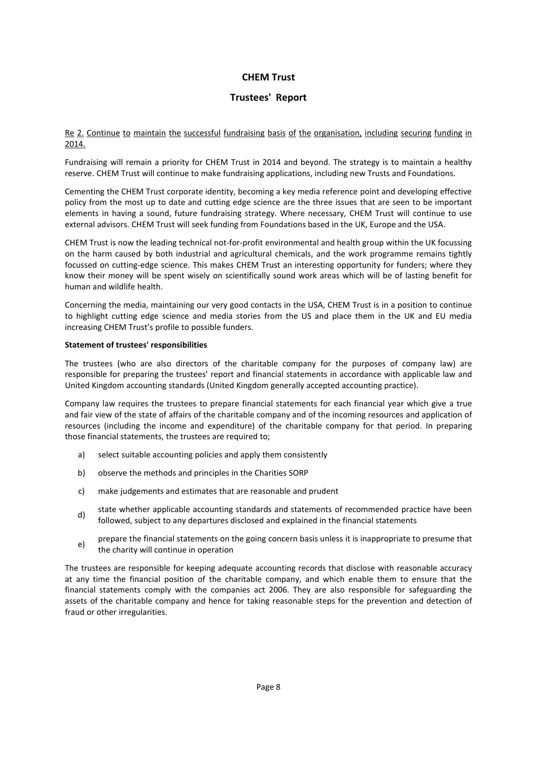# **Trustees' Report**

Re 2. Continue to maintain the successful fundraising basis of the organisation, including securing funding in 2014.

Fundraising will remain a priority for CHEM Trust in 2014 and beyond. The strategy is to maintain a healthy reserve. CHEM Trust will continue to make fundraising applications, including new Trusts and Foundations.

Cementing the CHEM Trust corporate identity, becoming a key media reference point and developing effective policy from the most up to date and cutting edge science are the three issues that are seen to be important elements in having a sound, future fundraising strategy. Where necessary, CHEM Trust will continue to use external advisors. CHEM Trust will seek funding from Foundations based in the UK, Europe and the USA.

CHEM Trust is now the leading technical not-for-profit environmental and health group within the UK focussing on the harm caused by both industrial and agricultural chemicals, and the work programme remains tightly focussed on cutting-edge science. This makes CHEM Trust an interesting opportunity for funders; where they know their money will be spent wisely on scientifically sound work areas which will be of lasting benefit for human and wildlife health.

Concerning the media, maintaining our very good contacts in the USA, CHEM Trust is in a position to continue to highlight cutting edge science and media stories from the US and place them in the UK and EU media increasing CHEM Trust's profile to possible funders.

#### **Statement of trustees' responsibilities**

The trustees (who are also directors of the charitable company for the purposes of company law) are responsible for preparing the trustees' report and financial statements in accordance with applicable law and United Kingdom accounting standards (United Kingdom generally accepted accounting practice).

Company law requires the trustees to prepare financial statements for each financial year which give a true and fair view of the state of affairs of the charitable company and of the incoming resources and application of resources (including the income and expenditure) of the charitable company for that period. In preparing those financial statements, the trustees are required to;

- a) select suitable accounting policies and apply them consistently
- b) observe the methods and principles in the Charities SORP
- c) make judgements and estimates that are reasonable and prudent
- state whether applicable accounting standards and statements of recommended practice have been<br>d) followed, subject to any departures disclosed and explained in the financial statements
- e) prepare the financial statements on the going concern basis unless it is inappropriate to presume that the charity will continue in operation

The trustees are responsible for keeping adequate accounting records that disclose with reasonable accuracy at any time the financial position of the charitable company, and which enable them to ensure that the financial statements comply with the companies act 2006. They are also responsible for safeguarding the assets of the charitable company and hence for taking reasonable steps for the prevention and detection of fraud or other irregularities.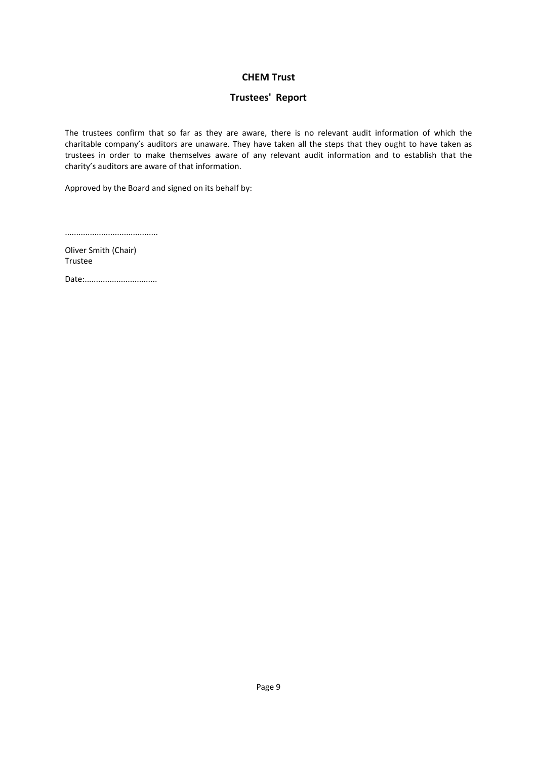# **Trustees' Report**

The trustees confirm that so far as they are aware, there is no relevant audit information of which the charitable company's auditors are unaware. They have taken all the steps that they ought to have taken as trustees in order to make themselves aware of any relevant audit information and to establish that the charity's auditors are aware of that information.

Approved by the Board and signed on its behalf by:

.........................................

Oliver Smith (Chair) Trustee

Date:................................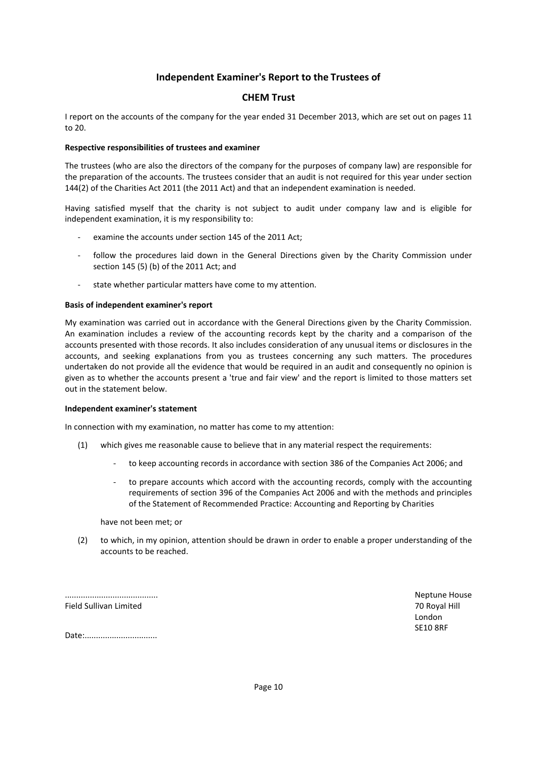# **Independent Examiner's Report to the Trustees of**

# **CHEM Trust**

I report on the accounts of the company for the year ended 31 December 2013, which are set out on pages 11 to 20.

#### **Respective responsibilities of trustees and examiner**

The trustees (who are also the directors of the company for the purposes of company law) are responsible for the preparation of the accounts. The trustees consider that an audit is not required for this year under section 144(2) of the Charities Act 2011 (the 2011 Act) and that an independent examination is needed.

Having satisfied myself that the charity is not subject to audit under company law and is eligible for independent examination, it is my responsibility to:

- examine the accounts under section 145 of the 2011 Act;
- follow the procedures laid down in the General Directions given by the Charity Commission under section 145 (5) (b) of the 2011 Act; and
- state whether particular matters have come to my attention.

#### **Basis of independent examiner's report**

My examination was carried out in accordance with the General Directions given by the Charity Commission. An examination includes a review of the accounting records kept by the charity and a comparison of the accounts presented with those records. It also includes consideration of any unusual items or disclosures in the accounts, and seeking explanations from you as trustees concerning any such matters. The procedures undertaken do not provide all the evidence that would be required in an audit and consequently no opinion is given as to whether the accounts present a 'true and fair view' and the report is limited to those matters set out in the statement below.

#### **Independent examiner's statement**

In connection with my examination, no matter has come to my attention:

- (1) which gives me reasonable cause to believe that in any material respect the requirements:
	- to keep accounting records in accordance with section 386 of the Companies Act 2006; and
	- to prepare accounts which accord with the accounting records, comply with the accounting requirements of section 396 of the Companies Act 2006 and with the methods and principles of the Statement of Recommended Practice: Accounting and Reporting by Charities

have not been met; or

(2) to which, in my opinion, attention should be drawn in order to enable a proper understanding of the accounts to be reached.

......................................... Field Sullivan Limited

Neptune House 70 Royal Hill London SE10 8RF

Date:..................................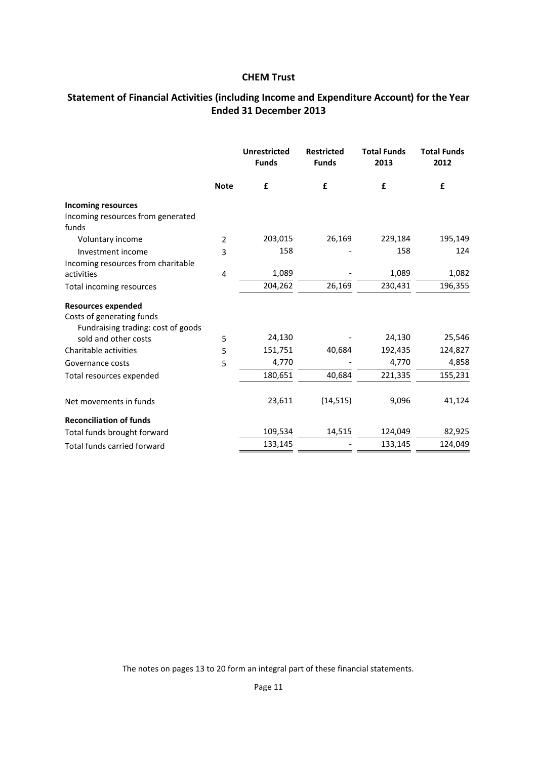# **Statement of Financial Activities (including Income and Expenditure Account) for the Year Ended 31 December 2013**

|                                    |             | <b>Unrestricted</b><br><b>Funds</b> | <b>Restricted</b><br><b>Funds</b> | <b>Total Funds</b><br>2013 | <b>Total Funds</b><br>2012 |
|------------------------------------|-------------|-------------------------------------|-----------------------------------|----------------------------|----------------------------|
|                                    | <b>Note</b> | £                                   | £                                 | £                          | £                          |
| <b>Incoming resources</b>          |             |                                     |                                   |                            |                            |
| Incoming resources from generated  |             |                                     |                                   |                            |                            |
| funds                              |             |                                     |                                   |                            |                            |
| Voluntary income                   | 2           | 203,015                             | 26,169                            | 229,184                    | 195,149                    |
| Investment income                  | 3           | 158                                 |                                   | 158                        | 124                        |
| Incoming resources from charitable |             |                                     |                                   |                            |                            |
| activities                         | 4           | 1,089                               |                                   | 1,089                      | 1,082                      |
| Total incoming resources           |             | 204,262                             | 26,169                            | 230,431                    | 196,355                    |
| <b>Resources expended</b>          |             |                                     |                                   |                            |                            |
| Costs of generating funds          |             |                                     |                                   |                            |                            |
| Fundraising trading: cost of goods |             |                                     |                                   |                            |                            |
| sold and other costs               | 5           | 24,130                              |                                   | 24,130                     | 25,546                     |
| Charitable activities              | 5           | 151,751                             | 40,684                            | 192,435                    | 124,827                    |
| Governance costs                   | 5           | 4,770                               |                                   | 4,770                      | 4,858                      |
| Total resources expended           |             | 180,651                             | 40,684                            | 221,335                    | 155,231                    |
| Net movements in funds             |             | 23,611                              | (14, 515)                         | 9,096                      | 41,124                     |
| <b>Reconciliation of funds</b>     |             |                                     |                                   |                            |                            |
| Total funds brought forward        |             | 109,534                             | 14,515                            | 124,049                    | 82,925                     |
| <b>Total funds carried forward</b> |             | 133,145                             |                                   | 133,145                    | 124,049                    |

The notes on pages 13 to 20 form an integral part of these financial statements.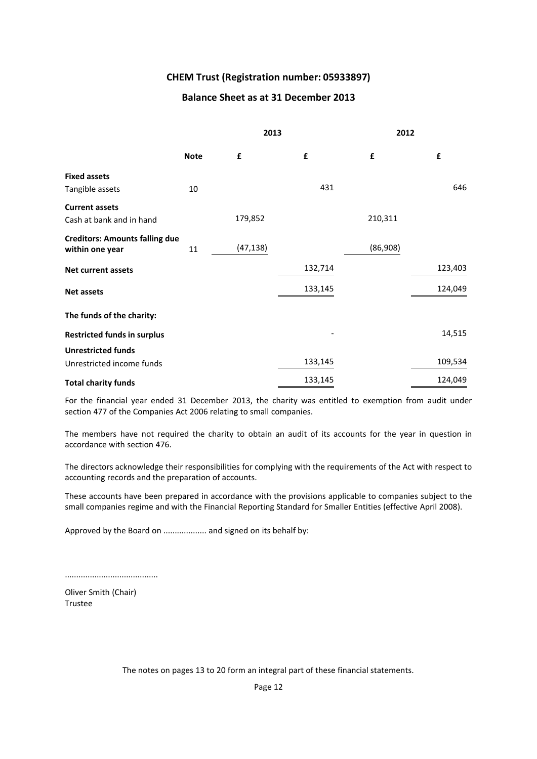# **CHEM Trust (Registration number: 05933897)**

### **Balance Sheet as at 31 December 2013**

|                                                          |             | 2013      |         | 2012     |         |
|----------------------------------------------------------|-------------|-----------|---------|----------|---------|
|                                                          | <b>Note</b> | £         | £       | £        | £       |
| <b>Fixed assets</b>                                      |             |           |         |          |         |
| Tangible assets                                          | 10          |           | 431     |          | 646     |
| <b>Current assets</b><br>Cash at bank and in hand        |             | 179,852   |         | 210,311  |         |
| <b>Creditors: Amounts falling due</b><br>within one year | 11          | (47, 138) |         | (86,908) |         |
| <b>Net current assets</b>                                |             |           | 132,714 |          | 123,403 |
| <b>Net assets</b>                                        |             |           | 133,145 |          | 124,049 |
| The funds of the charity:                                |             |           |         |          |         |
| <b>Restricted funds in surplus</b>                       |             |           |         |          | 14,515  |
| <b>Unrestricted funds</b>                                |             |           |         |          |         |
| Unrestricted income funds                                |             |           | 133,145 |          | 109,534 |
| <b>Total charity funds</b>                               |             |           | 133,145 |          | 124,049 |

For the financial year ended 31 December 2013, the charity was entitled to exemption from audit under section 477 of the Companies Act 2006 relating to small companies.

The members have not required the charity to obtain an audit of its accounts for the year in question in accordance with section 476.

The directors acknowledge their responsibilities for complying with the requirements of the Act with respect to accounting records and the preparation of accounts.

These accounts have been prepared in accordance with the provisions applicable to companies subject to the small companies regime and with the Financial Reporting Standard for Smaller Entities (effective April 2008).

Approved by the Board on ................... and signed on its behalf by:

.........................................

Oliver Smith (Chair) Trustee

The notes on pages 13 to 20 form an integral part of these financial statements.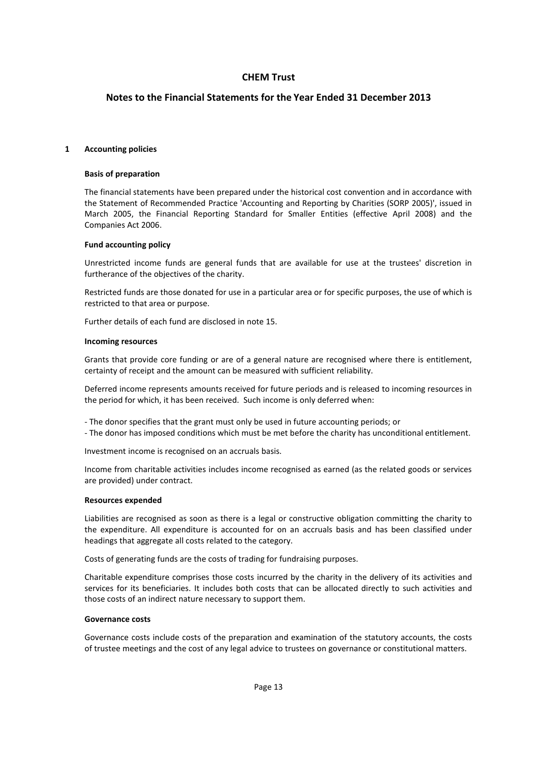# **Notes to the Financial Statements for the Year Ended 31 December 2013**

#### **1 Accounting policies**

#### **Basis of preparation**

The financial statements have been prepared under the historical cost convention and in accordance with the Statement of Recommended Practice 'Accounting and Reporting by Charities (SORP 2005)', issued in March 2005, the Financial Reporting Standard for Smaller Entities (effective April 2008) and the Companies Act 2006.

#### **Fund accounting policy**

Unrestricted income funds are general funds that are available for use at the trustees' discretion in furtherance of the objectives of the charity.

Restricted funds are those donated for use in a particular area or for specific purposes, the use of which is restricted to that area or purpose.

Further details of each fund are disclosed in note 15.

#### **Incoming resources**

Grants that provide core funding or are of a general nature are recognised where there is entitlement, certainty of receipt and the amount can be measured with sufficient reliability.

Deferred income represents amounts received for future periods and is released to incoming resources in the period for which, it has been received. Such income is only deferred when:

- The donor specifies that the grant must only be used in future accounting periods; or

- The donor has imposed conditions which must be met before the charity has unconditional entitlement.

Investment income is recognised on an accruals basis.

Income from charitable activities includes income recognised as earned (as the related goods or services are provided) under contract.

#### **Resources expended**

Liabilities are recognised as soon as there is a legal or constructive obligation committing the charity to the expenditure. All expenditure is accounted for on an accruals basis and has been classified under headings that aggregate all costs related to the category.

Costs of generating funds are the costs of trading for fundraising purposes.

Charitable expenditure comprises those costs incurred by the charity in the delivery of its activities and services for its beneficiaries. It includes both costs that can be allocated directly to such activities and those costs of an indirect nature necessary to support them.

#### **Governance costs**

Governance costs include costs of the preparation and examination of the statutory accounts, the costs of trustee meetings and the cost of any legal advice to trustees on governance or constitutional matters.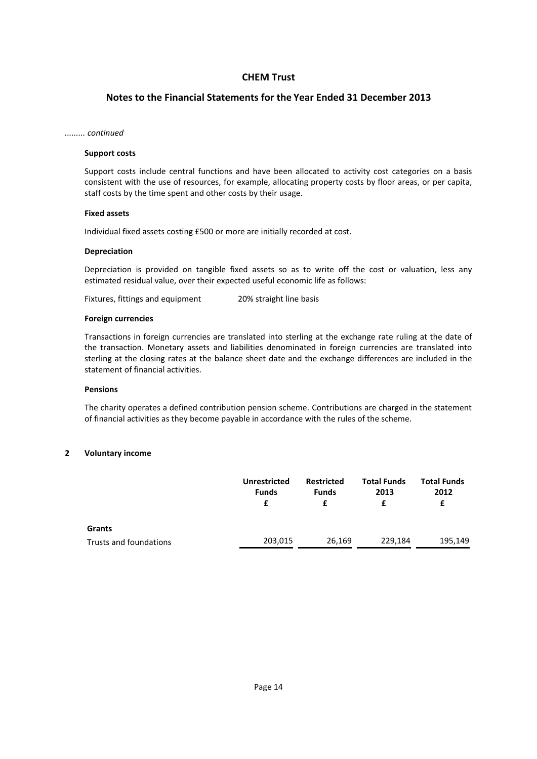# **Notes to the Financial Statements for the Year Ended 31 December 2013**

#### *......... continued*

#### **Support costs**

Support costs include central functions and have been allocated to activity cost categories on a basis consistent with the use of resources, for example, allocating property costs by floor areas, or per capita, staff costs by the time spent and other costs by their usage.

#### **Fixed assets**

Individual fixed assets costing £500 or more are initially recorded at cost.

#### **Depreciation**

Depreciation is provided on tangible fixed assets so as to write off the cost or valuation, less any estimated residual value, over their expected useful economic life as follows:

Fixtures, fittings and equipment 20% straight line basis

#### **Foreign currencies**

Transactions in foreign currencies are translated into sterling at the exchange rate ruling at the date of the transaction. Monetary assets and liabilities denominated in foreign currencies are translated into sterling at the closing rates at the balance sheet date and the exchange differences are included in the statement of financial activities.

#### **Pensions**

The charity operates a defined contribution pension scheme. Contributions are charged in the statement of financial activities as they become payable in accordance with the rules of the scheme.

#### **2 Voluntary income**

|                        | <b>Unrestricted</b><br><b>Funds</b> | <b>Restricted</b><br>Funds<br>£ | <b>Total Funds</b><br>2013 | <b>Total Funds</b><br>2012<br>£ |
|------------------------|-------------------------------------|---------------------------------|----------------------------|---------------------------------|
| Grants                 |                                     |                                 |                            |                                 |
| Trusts and foundations | 203,015                             | 26,169                          | 229,184                    | 195,149                         |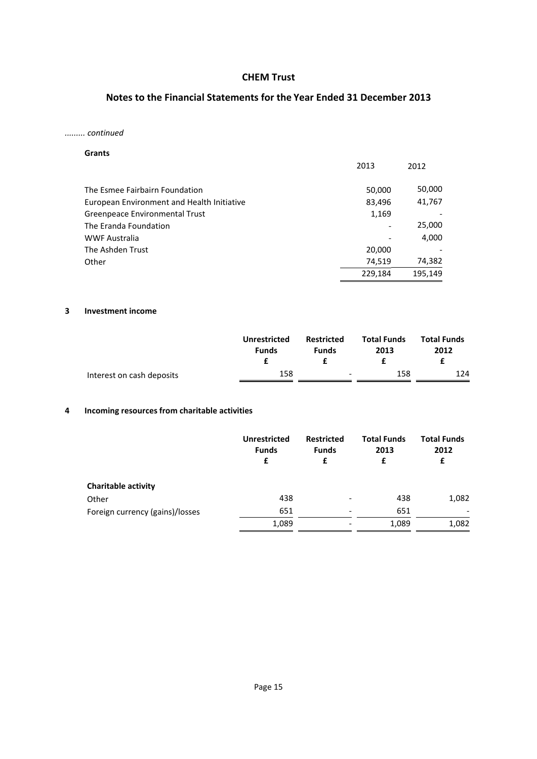# **Notes to the Financial Statements for the Year Ended 31 December 2013**

### *......... continued*

| <b>Grants</b>                              |         |         |
|--------------------------------------------|---------|---------|
|                                            | 2013    | 2012    |
| The Esmee Fairbairn Foundation             | 50,000  | 50,000  |
| European Environment and Health Initiative | 83,496  | 41,767  |
| Greenpeace Environmental Trust             | 1,169   |         |
| The Eranda Foundation                      |         | 25,000  |
| <b>WWF Australia</b>                       |         | 4,000   |
| The Ashden Trust                           | 20,000  |         |
| Other                                      | 74,519  | 74,382  |
|                                            | 229,184 | 195,149 |

### **3 Investment income**

|                           | <b>Unrestricted</b><br><b>Funds</b> | <b>Restricted</b><br><b>Funds</b> | <b>Total Funds</b><br>2013 | <b>Total Funds</b><br>2012 |
|---------------------------|-------------------------------------|-----------------------------------|----------------------------|----------------------------|
| Interest on cash deposits | 158                                 | $\overline{\phantom{a}}$          | 158                        | 124                        |

# **4 Incoming resources from charitable activities**

|                                 | <b>Unrestricted</b><br><b>Funds</b><br>£ | <b>Restricted</b><br><b>Funds</b><br>£ | <b>Total Funds</b><br>2013<br>£ | <b>Total Funds</b><br>2012<br>£ |
|---------------------------------|------------------------------------------|----------------------------------------|---------------------------------|---------------------------------|
| <b>Charitable activity</b>      |                                          |                                        |                                 |                                 |
| Other                           | 438                                      | $\overline{\phantom{a}}$               | 438                             | 1,082                           |
| Foreign currency (gains)/losses | 651                                      | $\qquad \qquad$                        | 651                             |                                 |
|                                 | 1,089                                    | ٠                                      | 1,089                           | 1,082                           |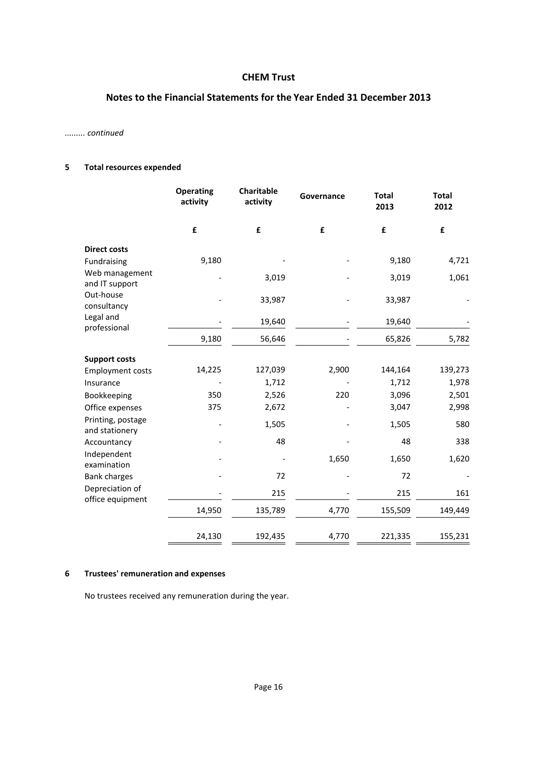# **Notes to the Financial Statements for the Year Ended 31 December 2013**

### *......... continued*

# **5 Total resources expended**

|                                     | <b>Operating</b><br>activity | <b>Charitable</b><br>activity | Governance | <b>Total</b><br>2013 | <b>Total</b><br>2012 |
|-------------------------------------|------------------------------|-------------------------------|------------|----------------------|----------------------|
|                                     | £                            | £                             | £          | £                    | £                    |
| <b>Direct costs</b>                 |                              |                               |            |                      |                      |
| Fundraising                         | 9,180                        |                               |            | 9,180                | 4,721                |
| Web management<br>and IT support    |                              | 3,019                         |            | 3,019                | 1,061                |
| Out-house<br>consultancy            |                              | 33,987                        |            | 33,987               |                      |
| Legal and<br>professional           |                              | 19,640                        |            | 19,640               |                      |
|                                     | 9,180                        | 56,646                        |            | 65,826               | 5,782                |
| <b>Support costs</b>                |                              |                               |            |                      |                      |
| <b>Employment costs</b>             | 14,225                       | 127,039                       | 2,900      | 144,164              | 139,273              |
| Insurance                           |                              | 1,712                         |            | 1,712                | 1,978                |
| Bookkeeping                         | 350                          | 2,526                         | 220        | 3,096                | 2,501                |
| Office expenses                     | 375                          | 2,672                         |            | 3,047                | 2,998                |
| Printing, postage<br>and stationery |                              | 1,505                         |            | 1,505                | 580                  |
| Accountancy                         |                              | 48                            |            | 48                   | 338                  |
| Independent<br>examination          |                              |                               | 1,650      | 1,650                | 1,620                |
| <b>Bank charges</b>                 |                              | 72                            |            | 72                   |                      |
| Depreciation of<br>office equipment |                              | 215                           |            | 215                  | 161                  |
|                                     | 14,950                       | 135,789                       | 4,770      | 155,509              | 149,449              |
|                                     | 24,130                       | 192,435                       | 4,770      | 221,335              | 155,231              |

# **6 Trustees' remuneration and expenses**

No trustees received any remuneration during the year.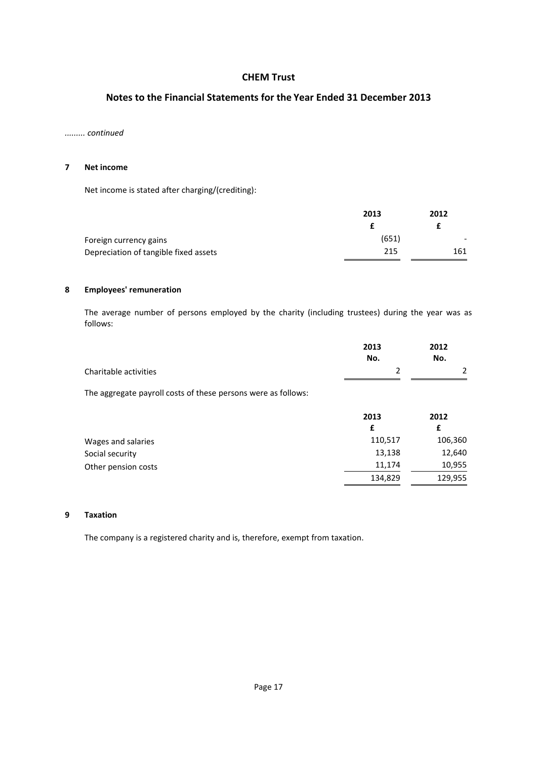# **Notes to the Financial Statements for the Year Ended 31 December 2013**

### *......... continued*

#### **7 Net income**

Net income is stated after charging/(crediting):

|                                       | 2013  | 2012 |  |
|---------------------------------------|-------|------|--|
|                                       |       |      |  |
| Foreign currency gains                | (651) |      |  |
| Depreciation of tangible fixed assets | 215   | 161  |  |

#### **8 Employees' remuneration**

The average number of persons employed by the charity (including trustees) during the year was as follows:

|                       | 2013 | 2012 |
|-----------------------|------|------|
|                       | No.  | No.  |
| Charitable activities |      |      |
|                       |      |      |

The aggregate payroll costs of these persons were as follows:

|                     | 2013    | 2012    |
|---------------------|---------|---------|
|                     | £       |         |
| Wages and salaries  | 110,517 | 106,360 |
| Social security     | 13,138  | 12,640  |
| Other pension costs | 11.174  | 10,955  |
|                     | 134,829 | 129,955 |

### **9 Taxation**

The company is a registered charity and is, therefore, exempt from taxation.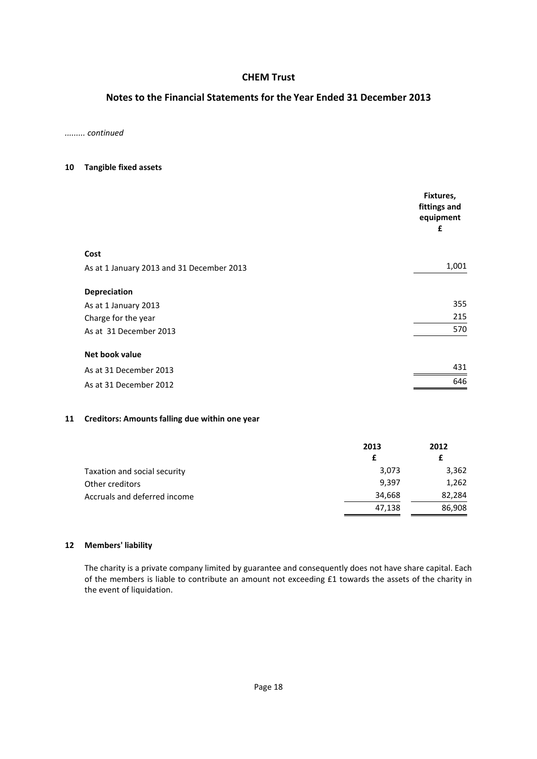# **Notes to the Financial Statements for the Year Ended 31 December 2013**

*......... continued*

#### **10 Tangible fixed assets**

|                                           | Fixtures,<br>fittings and<br>equipment<br>£ |
|-------------------------------------------|---------------------------------------------|
| Cost                                      |                                             |
| As at 1 January 2013 and 31 December 2013 | 1,001                                       |
| <b>Depreciation</b>                       |                                             |
| As at 1 January 2013                      | 355                                         |
| Charge for the year                       | 215                                         |
| As at 31 December 2013                    | 570                                         |
| Net book value                            |                                             |
| As at 31 December 2013                    | 431                                         |
| As at 31 December 2012                    | 646                                         |

### **11 Creditors: Amounts falling due within one year**

|                              | 2013   | 2012   |
|------------------------------|--------|--------|
|                              |        |        |
| Taxation and social security | 3,073  | 3,362  |
| Other creditors              | 9,397  | 1,262  |
| Accruals and deferred income | 34,668 | 82,284 |
|                              | 47,138 | 86,908 |

### **12 Members' liability**

The charity is a private company limited by guarantee and consequently does not have share capital. Each of the members is liable to contribute an amount not exceeding £1 towards the assets of the charity in the event of liquidation.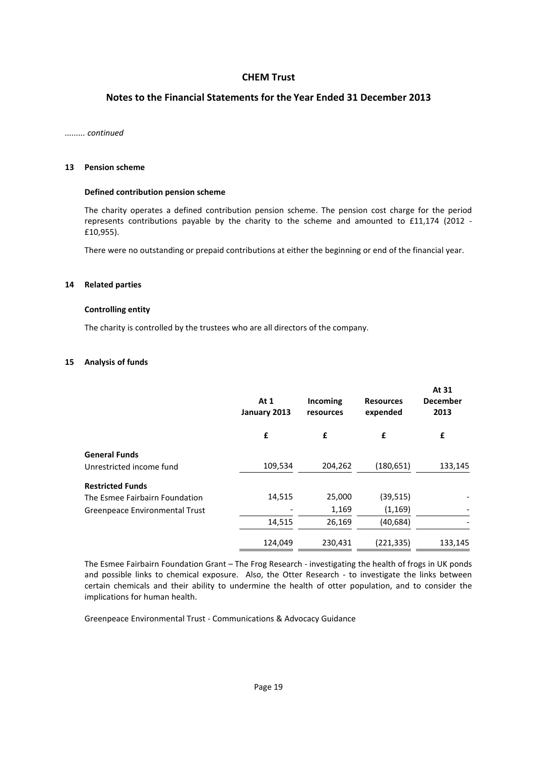# **Notes to the Financial Statements for the Year Ended 31 December 2013**

#### *......... continued*

#### **13 Pension scheme**

#### **Defined contribution pension scheme**

The charity operates a defined contribution pension scheme. The pension cost charge for the period represents contributions payable by the charity to the scheme and amounted to £11,174 (2012 - £10,955).

There were no outstanding or prepaid contributions at either the beginning or end of the financial year.

#### **14 Related parties**

#### **Controlling entity**

The charity is controlled by the trustees who are all directors of the company.

#### **15 Analysis of funds**

|                                | At $1$<br>January 2013 | <b>Incoming</b><br>resources | <b>Resources</b><br>expended | At 31<br><b>December</b><br>2013 |
|--------------------------------|------------------------|------------------------------|------------------------------|----------------------------------|
|                                | £                      | £                            | £                            | £                                |
| <b>General Funds</b>           |                        |                              |                              |                                  |
| Unrestricted income fund       | 109,534                | 204,262                      | (180, 651)                   | 133,145                          |
| <b>Restricted Funds</b>        |                        |                              |                              |                                  |
| The Esmee Fairbairn Foundation | 14,515                 | 25,000                       | (39, 515)                    |                                  |
| Greenpeace Environmental Trust |                        | 1,169                        | (1, 169)                     |                                  |
|                                | 14,515                 | 26,169                       | (40, 684)                    |                                  |
|                                | 124,049                | 230,431                      | (221,335)                    | 133,145                          |

The Esmee Fairbairn Foundation Grant – The Frog Research - investigating the health of frogs in UK ponds and possible links to chemical exposure. Also, the Otter Research - to investigate the links between certain chemicals and their ability to undermine the health of otter population, and to consider the implications for human health.

Greenpeace Environmental Trust - Communications & Advocacy Guidance